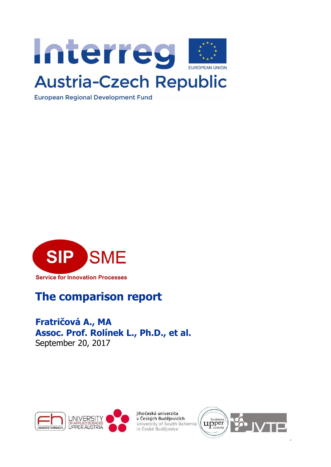

**European Regional Development Fund** 



### **The comparison report**

### <span id="page-0-0"></span>**Fratričová A., MA Assoc. Prof. Rolínek L., Ph.D., et al.**  September 20, 2017



Jihočeská univerzita v Českých Budějovicích University of South Bohemia in České Budějovice



 $\overline{a}$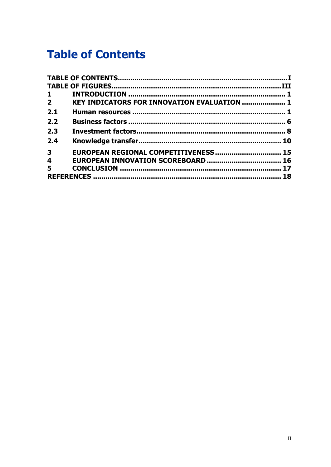# **Table of Contents**

| $\mathbf{1}$            |                                                    |  |
|-------------------------|----------------------------------------------------|--|
| $2^{\circ}$             | <b>KEY INDICATORS FOR INNOVATION EVALUATION  1</b> |  |
| 2.1                     |                                                    |  |
| 2.2                     |                                                    |  |
| 2.3                     |                                                    |  |
| 2.4                     |                                                    |  |
| $\overline{\mathbf{3}}$ | EUROPEAN REGIONAL COMPETITIVENESS 15               |  |
| $\overline{\mathbf{4}}$ |                                                    |  |
| 5                       |                                                    |  |
|                         |                                                    |  |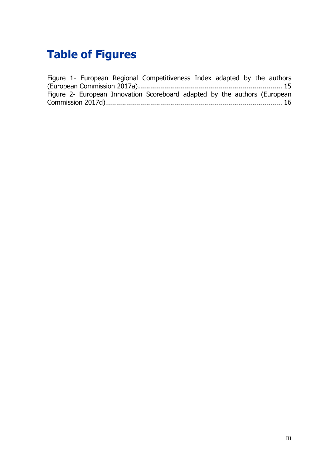# <span id="page-2-0"></span>**Table of Figures**

Figure 1- [European Regional Competitiveness Index adapted by the authors](#page-17-1)  [\(European Commission 2017a\)........................................................................](#page-17-1) 15 Figure 2- [European Innovation Scoreboard adapted by the authors \(European](#page-18-1)  [Commission 2017d\)........................................................................................](#page-18-1) 16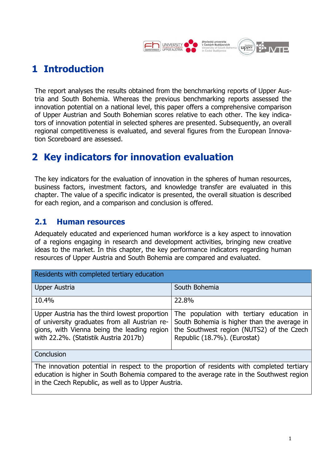

### <span id="page-3-0"></span>**1 Introduction**

The report analyses the results obtained from the benchmarking reports of Upper Austria and South Bohemia. Whereas the previous benchmarking reports assessed the innovation potential on a national level, this paper offers a comprehensive comparison of Upper Austrian and South Bohemian scores relative to each other. The key indicators of innovation potential in selected spheres are presented. Subsequently, an overall regional competitiveness is evaluated, and several figures from the European Innovation Scoreboard are assessed.

### <span id="page-3-1"></span>**2 Key indicators for innovation evaluation**

The key indicators for the evaluation of innovation in the spheres of human resources, business factors, investment factors, and knowledge transfer are evaluated in this chapter. The value of a specific indicator is presented, the overall situation is described for each region, and a comparison and conclusion is offered.

#### <span id="page-3-2"></span>**2.1 Human resources**

Adequately educated and experienced human workforce is a key aspect to innovation of a regions engaging in research and development activities, bringing new creative ideas to the market. In this chapter, the key performance indicators regarding human resources of Upper Austria and South Bohemia are compared and evaluated.

| Residents with completed tertiary education                                                                                                                                                                                                    |                                                                                                                                                                       |  |
|------------------------------------------------------------------------------------------------------------------------------------------------------------------------------------------------------------------------------------------------|-----------------------------------------------------------------------------------------------------------------------------------------------------------------------|--|
| Upper Austria                                                                                                                                                                                                                                  | South Bohemia                                                                                                                                                         |  |
| 10.4%                                                                                                                                                                                                                                          | 22.8%                                                                                                                                                                 |  |
| Upper Austria has the third lowest proportion<br>of university graduates from all Austrian re-<br>gions, with Vienna being the leading region<br>with 22.2%. (Statistik Austria 2017b)                                                         | The population with tertiary education in<br>South Bohemia is higher than the average in<br>the Southwest region (NUTS2) of the Czech<br>Republic (18.7%). (Eurostat) |  |
| Conclusion                                                                                                                                                                                                                                     |                                                                                                                                                                       |  |
| The innovation potential in respect to the proportion of residents with completed tertiary<br>education is higher in South Bohemia compared to the average rate in the Southwest region<br>in the Czech Republic, as well as to Upper Austria. |                                                                                                                                                                       |  |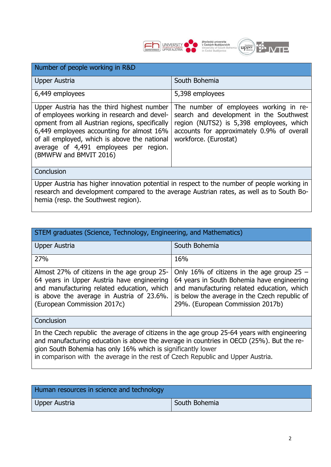

| Number of people working in R&D                                                                                                                                                                                                                                                                              |                                                                                                                                                                                                      |  |
|--------------------------------------------------------------------------------------------------------------------------------------------------------------------------------------------------------------------------------------------------------------------------------------------------------------|------------------------------------------------------------------------------------------------------------------------------------------------------------------------------------------------------|--|
| Upper Austria                                                                                                                                                                                                                                                                                                | South Bohemia                                                                                                                                                                                        |  |
| 6,449 employees                                                                                                                                                                                                                                                                                              | 5,398 employees                                                                                                                                                                                      |  |
| Upper Austria has the third highest number<br>of employees working in research and devel-<br>opment from all Austrian regions, specifically<br>6,449 employees accounting for almost 16%<br>of all employed, which is above the national<br>average of 4,491 employees per region.<br>(BMWFW and BMVIT 2016) | The number of employees working in re-<br>search and development in the Southwest<br>region (NUTS2) is 5,398 employees, which<br>accounts for approximately 0.9% of overall<br>workforce. (Eurostat) |  |
| Conclusion                                                                                                                                                                                                                                                                                                   |                                                                                                                                                                                                      |  |
| Upper Austria has higher innovation potential in respect to the number of people working in<br>research and development compared to the average Austrian rates, as well as to South Bo-<br>hemia (resp. the Southwest region).                                                                               |                                                                                                                                                                                                      |  |

| STEM graduates (Science, Technology, Engineering, and Mathematics)                                                                                                                                                                                      |                                                                                                                                                                                                                               |  |
|---------------------------------------------------------------------------------------------------------------------------------------------------------------------------------------------------------------------------------------------------------|-------------------------------------------------------------------------------------------------------------------------------------------------------------------------------------------------------------------------------|--|
| <b>Upper Austria</b>                                                                                                                                                                                                                                    | South Bohemia                                                                                                                                                                                                                 |  |
| 27%                                                                                                                                                                                                                                                     | 16%                                                                                                                                                                                                                           |  |
| Almost 27% of citizens in the age group 25-<br>64 years in Upper Austria have engineering<br>and manufacturing related education, which<br>is above the average in Austria of 23.6%.<br>(European Commission 2017c)                                     | Only 16% of citizens in the age group $25 -$<br>64 years in South Bohemia have engineering<br>and manufacturing related education, which<br>is below the average in the Czech republic of<br>29%. (European Commission 2017b) |  |
| Conclusion                                                                                                                                                                                                                                              |                                                                                                                                                                                                                               |  |
| In the Czech republic the average of citizens in the age group 25-64 years with engineering<br>and manufacturing education is above the average in countries in OECD (25%). But the re-<br>gion South Bohemia has only 16% which is significantly lower |                                                                                                                                                                                                                               |  |

in comparison with the average in the rest of Czech Republic and Upper Austria.

| Human resources in science and technology |               |
|-------------------------------------------|---------------|
| Upper Austria                             | South Bohemia |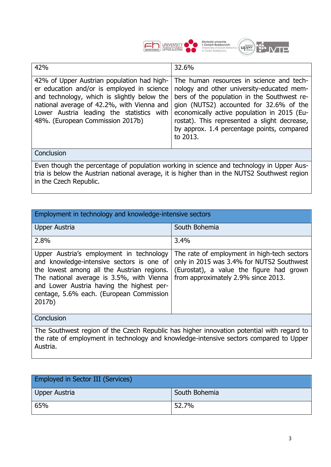



| 42%                                                                                                                                                                                                                                                                    | 32.6%                                                                                                                                                                                                                                                                                                                                    |  |
|------------------------------------------------------------------------------------------------------------------------------------------------------------------------------------------------------------------------------------------------------------------------|------------------------------------------------------------------------------------------------------------------------------------------------------------------------------------------------------------------------------------------------------------------------------------------------------------------------------------------|--|
| 42% of Upper Austrian population had high-<br>er education and/or is employed in science<br>and technology, which is slightly below the<br>national average of 42.2%, with Vienna and<br>Lower Austria leading the statistics with<br>48%. (European Commission 2017b) | The human resources in science and tech-<br>nology and other university-educated mem-<br>bers of the population in the Southwest re-<br>gion (NUTS2) accounted for 32.6% of the<br>economically active population in 2015 (Eu-<br>rostat). This represented a slight decrease,<br>by approx. 1.4 percentage points, compared<br>to 2013. |  |
| Conclusion                                                                                                                                                                                                                                                             |                                                                                                                                                                                                                                                                                                                                          |  |
| Even though the percentage of population working in science and technology in Upper Aus-<br>tria is below the Austrian national average, it is higher than in the NUTS2 Southwest region<br>in the Czech Republic.                                                     |                                                                                                                                                                                                                                                                                                                                          |  |

| Employment in technology and knowledge-intensive sectors                                                                                                                                                                                                                            |                                                                                                                                                                             |  |
|-------------------------------------------------------------------------------------------------------------------------------------------------------------------------------------------------------------------------------------------------------------------------------------|-----------------------------------------------------------------------------------------------------------------------------------------------------------------------------|--|
| <b>Upper Austria</b>                                                                                                                                                                                                                                                                | South Bohemia                                                                                                                                                               |  |
| 2.8%                                                                                                                                                                                                                                                                                | 3.4%                                                                                                                                                                        |  |
| Upper Austria's employment in technology<br>and knowledge-intensive sectors is one of<br>the lowest among all the Austrian regions.<br>The national average is 3.5%, with Vienna<br>and Lower Austria having the highest per-<br>centage, 5.6% each. (European Commission<br>2017b) | The rate of employment in high-tech sectors<br>only in 2015 was 3.4% for NUTS2 Southwest<br>(Eurostat), a value the figure had grown<br>from approximately 2.9% since 2013. |  |
| Conclusion                                                                                                                                                                                                                                                                          |                                                                                                                                                                             |  |
| The Southwest region of the Czech Republic has higher innovation potential with regard to<br>the rate of employment in technology and knowledge-intensive sectors compared to Upper<br>Austria.                                                                                     |                                                                                                                                                                             |  |

| <b>Employed in Sector III (Services)</b> |               |  |
|------------------------------------------|---------------|--|
| Upper Austria                            | South Bohemia |  |
| 65%                                      | 52.7%         |  |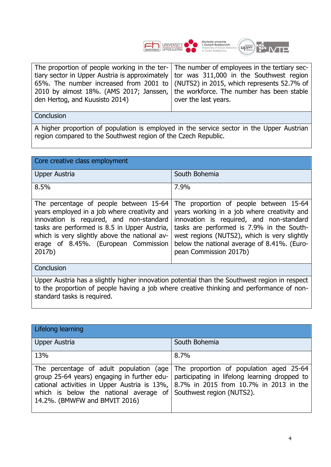



| The proportion of people working in the ter- The number of employees in the tertiary sec-  |                      |
|--------------------------------------------------------------------------------------------|----------------------|
| tiary sector in Upper Austria is approximately   tor was $311,000$ in the Southwest region |                      |
| 65%. The number increased from 2001 to (NUTS2) in 2015, which represents 52.7% of          |                      |
| 2010 by almost 18%. (AMS 2017; Janssen, the workforce. The number has been stable          |                      |
| den Hertog, and Kuusisto 2014)                                                             | over the last years. |
|                                                                                            |                      |

A higher proportion of population is employed in the service sector in the Upper Austrian region compared to the Southwest region of the Czech Republic.

| Core creative class employment                                                                                                                                                                                                              |                                                                                                                                                                                                                                                                                                                                                |  |
|---------------------------------------------------------------------------------------------------------------------------------------------------------------------------------------------------------------------------------------------|------------------------------------------------------------------------------------------------------------------------------------------------------------------------------------------------------------------------------------------------------------------------------------------------------------------------------------------------|--|
| Upper Austria                                                                                                                                                                                                                               | South Bohemia                                                                                                                                                                                                                                                                                                                                  |  |
| 8.5%                                                                                                                                                                                                                                        | 7.9%                                                                                                                                                                                                                                                                                                                                           |  |
| years employed in a job where creativity and<br>innovation is required, and non-standard<br>tasks are performed is 8.5 in Upper Austria,<br>which is very slightly above the national av-<br>erage of 8.45%. (European Commission<br>2017b) | The percentage of people between 15-64 The proportion of people between 15-64<br>years working in a job where creativity and<br>innovation is required, and non-standard<br>tasks are performed is 7.9% in the South-<br>west regions (NUTS2), which is very slightly<br>below the national average of 8.41%. (Euro-<br>pean Commission 2017b) |  |
| Conclusion                                                                                                                                                                                                                                  |                                                                                                                                                                                                                                                                                                                                                |  |

Upper Austria has a slightly higher innovation potential than the Southwest region in respect to the proportion of people having a job where creative thinking and performance of nonstandard tasks is required.

| Lifelong learning                                                                                                      |                                                                                                                                                                                                                                                              |
|------------------------------------------------------------------------------------------------------------------------|--------------------------------------------------------------------------------------------------------------------------------------------------------------------------------------------------------------------------------------------------------------|
| <b>Upper Austria</b>                                                                                                   | South Bohemia                                                                                                                                                                                                                                                |
| 13%                                                                                                                    | 8.7%                                                                                                                                                                                                                                                         |
| group 25-64 years) engaging in further edu-<br>which is below the national average of<br>14.2%. (BMWFW and BMVIT 2016) | The percentage of adult population (age The proportion of population aged 25-64<br>participating in lifelong learning dropped to<br>cational activities in Upper Austria is 13%, $\vert$ 8.7% in 2015 from 10.7% in 2013 in the<br>Southwest region (NUTS2). |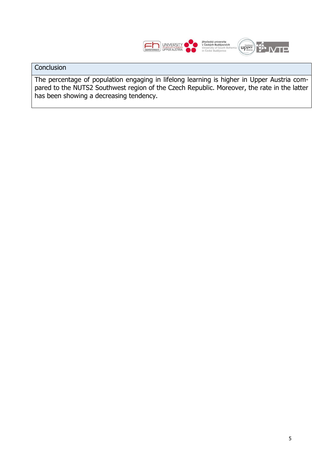

The percentage of population engaging in lifelong learning is higher in Upper Austria compared to the NUTS2 Southwest region of the Czech Republic. Moreover, the rate in the latter has been showing a decreasing tendency.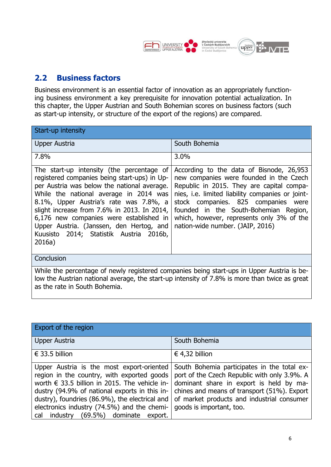

#### <span id="page-8-0"></span>**2.2 Business factors**

Business environment is an essential factor of innovation as an appropriately functioning business environment a key prerequisite for innovation potential actualization. In this chapter, the Upper Austrian and South Bohemian scores on business factors (such as start-up intensity, or structure of the export of the regions) are compared.

| Start-up intensity                                                                                                                                                                                                                                                                                                                                                                                                      |                                                                                                                                                                                                                                                                                                                                                              |  |
|-------------------------------------------------------------------------------------------------------------------------------------------------------------------------------------------------------------------------------------------------------------------------------------------------------------------------------------------------------------------------------------------------------------------------|--------------------------------------------------------------------------------------------------------------------------------------------------------------------------------------------------------------------------------------------------------------------------------------------------------------------------------------------------------------|--|
| Upper Austria                                                                                                                                                                                                                                                                                                                                                                                                           | South Bohemia                                                                                                                                                                                                                                                                                                                                                |  |
| 7.8%                                                                                                                                                                                                                                                                                                                                                                                                                    | 3.0%                                                                                                                                                                                                                                                                                                                                                         |  |
| The start-up intensity (the percentage of<br>registered companies being start-ups) in Up-<br>per Austria was below the national average.<br>While the national average in 2014 was<br>8.1%, Upper Austria's rate was 7.8%, a<br>slight increase from 7.6% in 2013. In 2014,<br>6,176 new companies were established in<br>Upper Austria. (Janssen, den Hertog, and<br>Kuusisto 2014; Statistik Austria 2016b,<br>2016a) | According to the data of Bisnode, 26,953<br>new companies were founded in the Czech<br>Republic in 2015. They are capital compa-<br>nies, <i>i.e.</i> limited liability companies or joint-<br>stock companies. 825 companies were<br>founded in the South-Bohemian Region,<br>which, however, represents only 3% of the<br>nation-wide number. (JAIP, 2016) |  |
| Conclusion                                                                                                                                                                                                                                                                                                                                                                                                              |                                                                                                                                                                                                                                                                                                                                                              |  |
| While the percentage of newly registered companies being start-ups in Upper Austria is be-<br>low the Austrian national average, the start-up intensity of 7.8% is more than twice as great<br>as the rate in South Bohemia.                                                                                                                                                                                            |                                                                                                                                                                                                                                                                                                                                                              |  |

| Export of the region                                                                                                                                                                                                                                                                                                                               |                                                                                                                                                                                                                                                                 |
|----------------------------------------------------------------------------------------------------------------------------------------------------------------------------------------------------------------------------------------------------------------------------------------------------------------------------------------------------|-----------------------------------------------------------------------------------------------------------------------------------------------------------------------------------------------------------------------------------------------------------------|
| <b>Upper Austria</b>                                                                                                                                                                                                                                                                                                                               | South Bohemia                                                                                                                                                                                                                                                   |
| $\epsilon$ 33.5 billion                                                                                                                                                                                                                                                                                                                            | € 4,32 billion                                                                                                                                                                                                                                                  |
| Upper Austria is the most export-oriented<br>region in the country, with exported goods<br>worth $\epsilon$ 33.5 billion in 2015. The vehicle in-<br>dustry (94.9% of national exports in this in-<br>dustry), foundries (86.9%), the electrical and<br>electronics industry (74.5%) and the chemi-<br>industry (69.5%) dominate<br>export.<br>cal | South Bohemia participates in the total ex-<br>port of the Czech Republic with only 3.9%. A<br>dominant share in export is held by ma-<br>chines and means of transport (51%). Export<br>of market products and industrial consumer<br>goods is important, too. |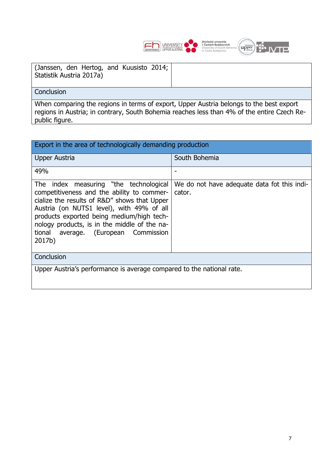

| (Janssen, den Hertog, and Kuusisto 2014; |  |  |
|------------------------------------------|--|--|
| Statistik Austria 2017a)                 |  |  |

When comparing the regions in terms of export, Upper Austria belongs to the best export regions in Austria; in contrary, South Bohemia reaches less than 4% of the entire Czech Republic figure.

| Export in the area of technologically demanding production                                                                                                                                                                                                                                                                       |                                                       |  |
|----------------------------------------------------------------------------------------------------------------------------------------------------------------------------------------------------------------------------------------------------------------------------------------------------------------------------------|-------------------------------------------------------|--|
| Upper Austria                                                                                                                                                                                                                                                                                                                    | South Bohemia                                         |  |
| 49%                                                                                                                                                                                                                                                                                                                              |                                                       |  |
| The index measuring "the technological<br>competitiveness and the ability to commer-<br>cialize the results of R&D" shows that Upper<br>Austria (on NUTS1 level), with 49% of all<br>products exported being medium/high tech-<br>nology products, is in the middle of the na-<br>tional average. (European Commission<br>2017b) | We do not have adequate data fot this indi-<br>cator. |  |
| Conclusion                                                                                                                                                                                                                                                                                                                       |                                                       |  |
| Upper Austria's performance is average compared to the national rate.                                                                                                                                                                                                                                                            |                                                       |  |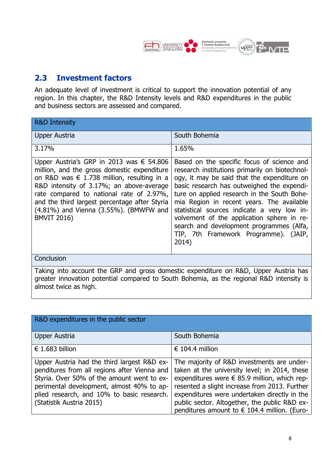

#### <span id="page-10-0"></span>**2.3 Investment factors**

An adequate level of investment is critical to support the innovation potential of any region. In this chapter, the R&D Intensity levels and R&D expenditures in the public and business sectors are assessed and compared.

| <b>R&amp;D Intensity</b>                                                                                                                                                                                                                                                                                                                                |                                                                                                                                                                                                                                                                                                                                                                                                                                                                                  |  |
|---------------------------------------------------------------------------------------------------------------------------------------------------------------------------------------------------------------------------------------------------------------------------------------------------------------------------------------------------------|----------------------------------------------------------------------------------------------------------------------------------------------------------------------------------------------------------------------------------------------------------------------------------------------------------------------------------------------------------------------------------------------------------------------------------------------------------------------------------|--|
| Upper Austria                                                                                                                                                                                                                                                                                                                                           | South Bohemia                                                                                                                                                                                                                                                                                                                                                                                                                                                                    |  |
| 3.17%                                                                                                                                                                                                                                                                                                                                                   | 1.65%                                                                                                                                                                                                                                                                                                                                                                                                                                                                            |  |
| Upper Austria's GRP in 2013 was € 54.806<br>million, and the gross domestic expenditure<br>on R&D was $\epsilon$ 1.738 million, resulting in a<br>R&D intensity of 3.17%; an above-average<br>rate compared to national rate of 2.97%,<br>and the third largest percentage after Styria<br>(4.81%) and Vienna (3.55%). (BMWFW and<br><b>BMVIT 2016)</b> | Based on the specific focus of science and<br>research institutions primarily on biotechnol-<br>ogy, it may be said that the expenditure on<br>basic research has outweighed the expendi-<br>ture on applied research in the South Bohe-<br>mia Region in recent years. The available<br>statistical sources indicate a very low in-<br>volvement of the application sphere in re-<br>search and development programmes (Alfa,<br>TIP, 7th Framework Programme). (JAIP,<br>2014) |  |
| Conclusion                                                                                                                                                                                                                                                                                                                                              |                                                                                                                                                                                                                                                                                                                                                                                                                                                                                  |  |
| Taking into account the GRP and gross domestic expenditure on R&D, Upper Austria has<br>greater innovation potential compared to South Bohemia, as the regional R&D intensity is<br>almost twice as high.                                                                                                                                               |                                                                                                                                                                                                                                                                                                                                                                                                                                                                                  |  |

| R&D expenditures in the public sector                                                                                                                                                                                                                            |                                                                                                                                                                                                                                                                                                                                                                 |
|------------------------------------------------------------------------------------------------------------------------------------------------------------------------------------------------------------------------------------------------------------------|-----------------------------------------------------------------------------------------------------------------------------------------------------------------------------------------------------------------------------------------------------------------------------------------------------------------------------------------------------------------|
| <b>Upper Austria</b>                                                                                                                                                                                                                                             | South Bohemia                                                                                                                                                                                                                                                                                                                                                   |
| € 1.683 billion                                                                                                                                                                                                                                                  | € 104.4 million                                                                                                                                                                                                                                                                                                                                                 |
| Upper Austria had the third largest R&D ex-<br>penditures from all regions after Vienna and<br>Styria. Over 50% of the amount went to ex-<br>perimental development, almost 40% to ap-<br>plied research, and 10% to basic research.<br>(Statistik Austria 2015) | The majority of R&D investments are under-<br>taken at the university level; in 2014, these<br>expenditures were $\epsilon$ 85.9 million, which rep-<br>resented a slight increase from 2013. Further<br>expenditures were undertaken directly in the<br>public sector. Altogether, the public R&D ex-<br>penditures amount to $\epsilon$ 104.4 million. (Euro- |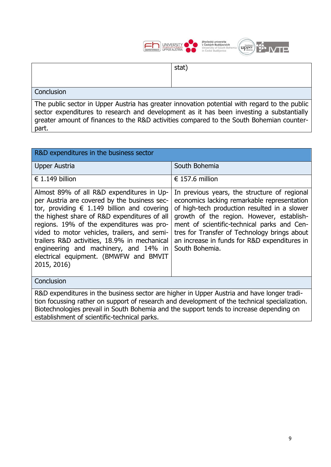

|                   | stat) |
|-------------------|-------|
|                   |       |
| <b>Conclusion</b> |       |
|                   |       |

The public sector in Upper Austria has greater innovation potential with regard to the public sector expenditures to research and development as it has been investing a substantially greater amount of finances to the R&D activities compared to the South Bohemian counterpart.

| R&D expenditures in the business sector                                                                                                                                                                                                                                                                                                                                                                                                          |                                                                                                                                                                                                                                                                                                                                                           |  |
|--------------------------------------------------------------------------------------------------------------------------------------------------------------------------------------------------------------------------------------------------------------------------------------------------------------------------------------------------------------------------------------------------------------------------------------------------|-----------------------------------------------------------------------------------------------------------------------------------------------------------------------------------------------------------------------------------------------------------------------------------------------------------------------------------------------------------|--|
| Upper Austria                                                                                                                                                                                                                                                                                                                                                                                                                                    | South Bohemia                                                                                                                                                                                                                                                                                                                                             |  |
| € 1.149 billion                                                                                                                                                                                                                                                                                                                                                                                                                                  | € 157.6 million                                                                                                                                                                                                                                                                                                                                           |  |
| Almost 89% of all R&D expenditures in Up-<br>per Austria are covered by the business sec-<br>tor, providing $\epsilon$ 1.149 billion and covering<br>the highest share of R&D expenditures of all<br>regions. 19% of the expenditures was pro-<br>vided to motor vehicles, trailers, and semi-<br>trailers R&D activities, 18.9% in mechanical<br>engineering and machinery, and 14% in<br>electrical equipment. (BMWFW and BMVIT<br>2015, 2016) | In previous years, the structure of regional<br>economics lacking remarkable representation<br>of high-tech production resulted in a slower<br>growth of the region. However, establish-<br>ment of scientific-technical parks and Cen-<br>tres for Transfer of Technology brings about<br>an increase in funds for R&D expenditures in<br>South Bohemia. |  |
| Conclusion                                                                                                                                                                                                                                                                                                                                                                                                                                       |                                                                                                                                                                                                                                                                                                                                                           |  |
| R&D expenditures in the business sector are higher in Upper Austria and have longer tradi-<br>tion focussing rather on support of research and development of the technical specialization.<br>Biotechnologies prevail in South Bohemia and the support tends to increase depending on<br>establishment of scientific-technical parks.                                                                                                           |                                                                                                                                                                                                                                                                                                                                                           |  |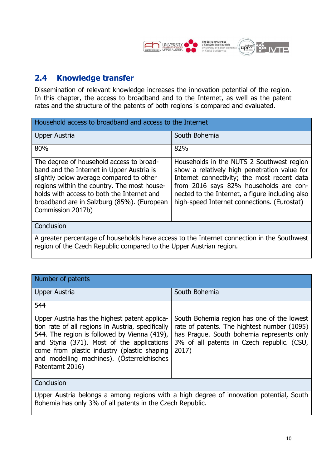

#### <span id="page-12-0"></span>**2.4 Knowledge transfer**

Dissemination of relevant knowledge increases the innovation potential of the region. In this chapter, the access to broadband and to the Internet, as well as the patent rates and the structure of the patents of both regions is compared and evaluated.

| Household access to broadband and access to the Internet                                                                                                                                                                                                                                          |                                                                                                                                                                                                                                                                                      |  |
|---------------------------------------------------------------------------------------------------------------------------------------------------------------------------------------------------------------------------------------------------------------------------------------------------|--------------------------------------------------------------------------------------------------------------------------------------------------------------------------------------------------------------------------------------------------------------------------------------|--|
| <b>Upper Austria</b>                                                                                                                                                                                                                                                                              | South Bohemia                                                                                                                                                                                                                                                                        |  |
| 80%                                                                                                                                                                                                                                                                                               | 82%                                                                                                                                                                                                                                                                                  |  |
| The degree of household access to broad-<br>band and the Internet in Upper Austria is<br>slightly below average compared to other<br>regions within the country. The most house-<br>holds with access to both the Internet and<br>broadband are in Salzburg (85%). (European<br>Commission 2017b) | Households in the NUTS 2 Southwest region<br>show a relatively high penetration value for<br>Internet connectivity; the most recent data<br>from 2016 says 82% households are con-<br>nected to the Internet, a figure including also<br>high-speed Internet connections. (Eurostat) |  |
| Conclusion                                                                                                                                                                                                                                                                                        |                                                                                                                                                                                                                                                                                      |  |
| A greater percentage of households have access to the Internet connection in the Southwest<br>region of the Czech Republic compared to the Upper Austrian region.                                                                                                                                 |                                                                                                                                                                                                                                                                                      |  |

| Number of patents                                                                                                                                                                                                                                                                                                |                                                                                                                                                                                               |  |
|------------------------------------------------------------------------------------------------------------------------------------------------------------------------------------------------------------------------------------------------------------------------------------------------------------------|-----------------------------------------------------------------------------------------------------------------------------------------------------------------------------------------------|--|
| <b>Upper Austria</b>                                                                                                                                                                                                                                                                                             | South Bohemia                                                                                                                                                                                 |  |
| 544                                                                                                                                                                                                                                                                                                              |                                                                                                                                                                                               |  |
| Upper Austria has the highest patent applica-<br>tion rate of all regions in Austria, specifically<br>544. The region is followed by Vienna (419),<br>and Styria (371). Most of the applications<br>come from plastic industry (plastic shaping<br>and modelling machines). (Österreichisches<br>Patentamt 2016) | South Bohemia region has one of the lowest<br>rate of patents. The hightest number (1095)<br>has Prague. South bohemia represents only<br>3% of all patents in Czech republic. (CSU,<br>2017) |  |
| Conclusion                                                                                                                                                                                                                                                                                                       |                                                                                                                                                                                               |  |
| Upper Austria belongs a among regions with a high degree of innovation potential, South                                                                                                                                                                                                                          |                                                                                                                                                                                               |  |

Bohemia has only 3% of all patents in the Czech Republic.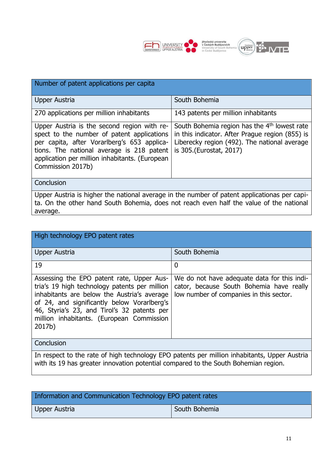

| Number of patent applications per capita                                                                                                                                                                                                                     |                                                                                                                                                                                        |  |
|--------------------------------------------------------------------------------------------------------------------------------------------------------------------------------------------------------------------------------------------------------------|----------------------------------------------------------------------------------------------------------------------------------------------------------------------------------------|--|
| Upper Austria                                                                                                                                                                                                                                                | South Bohemia                                                                                                                                                                          |  |
| 270 applications per million inhabitants                                                                                                                                                                                                                     | 143 patents per million inhabitants                                                                                                                                                    |  |
| Upper Austria is the second region with re-<br>spect to the number of patent applications<br>per capita, after Vorarlberg's 653 applica-<br>tions. The national average is 218 patent<br>application per million inhabitants. (European<br>Commission 2017b) | South Bohemia region has the 4 <sup>th</sup> lowest rate<br>in this indicator. After Prague region (855) is<br>Liberecky region (492). The national average<br>is 305.(Eurostat, 2017) |  |
| Conclusion                                                                                                                                                                                                                                                   |                                                                                                                                                                                        |  |
| Upper Austria is higher the national average in the number of patent applicationas per capi-<br>ta. On the other hand South Bohemia, does not reach even half the value of the national<br>average.                                                          |                                                                                                                                                                                        |  |

| High technology EPO patent rates                                                                                                                                                                                                                                                               |                                                                                                                                    |  |
|------------------------------------------------------------------------------------------------------------------------------------------------------------------------------------------------------------------------------------------------------------------------------------------------|------------------------------------------------------------------------------------------------------------------------------------|--|
| Upper Austria                                                                                                                                                                                                                                                                                  | South Bohemia                                                                                                                      |  |
| 19                                                                                                                                                                                                                                                                                             | $\mathbf 0$                                                                                                                        |  |
| Assessing the EPO patent rate, Upper Aus-<br>tria's 19 high technology patents per million<br>inhabitants are below the Austria's average<br>of 24, and significantly below Vorarlberg's<br>46, Styria's 23, and Tirol's 32 patents per<br>million inhabitants. (European Commission<br>2017b) | We do not have adequate data for this indi-<br>cator, because South Bohemia have really<br>low number of companies in this sector. |  |
| Conclusion                                                                                                                                                                                                                                                                                     |                                                                                                                                    |  |
| In respect to the rate of high technology EPO patents per million inhabitants, Upper Austria<br>with its 19 has greater innovation potential compared to the South Bohemian region.                                                                                                            |                                                                                                                                    |  |

| Information and Communication Technology EPO patent rates |               |  |
|-----------------------------------------------------------|---------------|--|
| Upper Austria                                             | South Bohemia |  |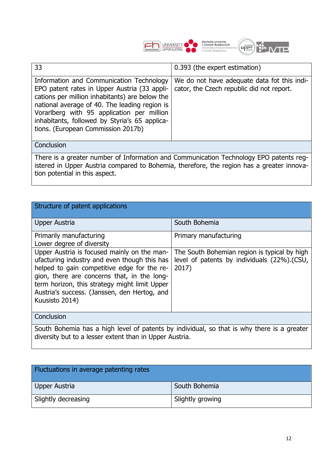

| 33                                                                                                                                                                                                                                                                                                                               | 0.393 (the expert estimation)                                                            |  |  |  |  |
|----------------------------------------------------------------------------------------------------------------------------------------------------------------------------------------------------------------------------------------------------------------------------------------------------------------------------------|------------------------------------------------------------------------------------------|--|--|--|--|
| Information and Communication Technology<br>EPO patent rates in Upper Austria (33 appli-<br>cations per million inhabitants) are below the<br>national average of 40. The leading region is<br>Vorarlberg with 95 application per million<br>inhabitants, followed by Styria's 65 applica-<br>tions. (European Commission 2017b) | We do not have adequate data fot this indi-<br>cator, the Czech republic did not report. |  |  |  |  |
| Conclusion                                                                                                                                                                                                                                                                                                                       |                                                                                          |  |  |  |  |
| There is a greater number of Information and Communication Technology EPO patents reg-<br>istered in Upper Austria compared to Bohemia, therefore, the region has a greater innova-<br>tion potential in this aspect.                                                                                                            |                                                                                          |  |  |  |  |

| Structure of patent applications                                                                                                                                                                                                                                                                             |                                                                                                      |  |  |
|--------------------------------------------------------------------------------------------------------------------------------------------------------------------------------------------------------------------------------------------------------------------------------------------------------------|------------------------------------------------------------------------------------------------------|--|--|
| <b>Upper Austria</b>                                                                                                                                                                                                                                                                                         | South Bohemia                                                                                        |  |  |
| Primarily manufacturing<br>Lower degree of diversity                                                                                                                                                                                                                                                         | Primary manufacturing                                                                                |  |  |
| Upper Austria is focused mainly on the man-<br>ufacturing industry and even though this has<br>helped to gain competitive edge for the re-<br>gion, there are concerns that, in the long-<br>term horizon, this strategy might limit Upper<br>Austria's success. (Janssen, den Hertog, and<br>Kuusisto 2014) | The South Bohemian region is typical by high<br>level of patents by individuals (22%).(CSU,<br>2017) |  |  |
| Conclusion                                                                                                                                                                                                                                                                                                   |                                                                                                      |  |  |
| South Bohemia has a high level of patents by individual, so that is why there is a greater<br>diversity but to a lesser extent than in Upper Austria.                                                                                                                                                        |                                                                                                      |  |  |

| Fluctuations in average patenting rates |                  |
|-----------------------------------------|------------------|
| Upper Austria                           | South Bohemia    |
| Slightly decreasing                     | Slightly growing |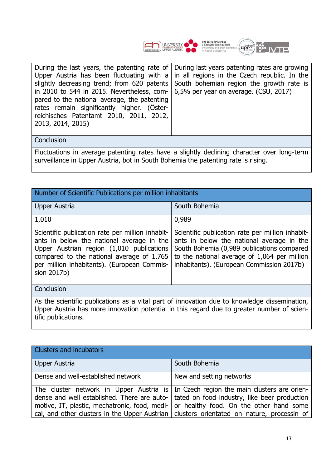



| rates remain significantly higher. (Oster-<br>reichisches Patentamt 2010, 2011, 2012,<br>2013, 2014, 2015) | in 2010 to 544 in 2015. Nevertheless, com- $\vert$ 6,5% per year on average. (CSU, 2017)<br>pared to the national average, the patenting | slightly decreasing trend; from 620 patents South bohemian region the growth rate is |
|------------------------------------------------------------------------------------------------------------|------------------------------------------------------------------------------------------------------------------------------------------|--------------------------------------------------------------------------------------|
|------------------------------------------------------------------------------------------------------------|------------------------------------------------------------------------------------------------------------------------------------------|--------------------------------------------------------------------------------------|

Fluctuations in average patenting rates have a slightly declining character over long-term surveillance in Upper Austria, bot in South Bohemia the patenting rate is rising.

| Number of Scientific Publications per million inhabitants                                                                                                                                                                                             |                                                                                                                                                                                                                                          |  |  |  |
|-------------------------------------------------------------------------------------------------------------------------------------------------------------------------------------------------------------------------------------------------------|------------------------------------------------------------------------------------------------------------------------------------------------------------------------------------------------------------------------------------------|--|--|--|
| <b>Upper Austria</b>                                                                                                                                                                                                                                  | South Bohemia                                                                                                                                                                                                                            |  |  |  |
| 1,010                                                                                                                                                                                                                                                 | 0,989                                                                                                                                                                                                                                    |  |  |  |
| Scientific publication rate per million inhabit-<br>ants in below the national average in the<br>Upper Austrian region (1,010 publications<br>compared to the national average of 1,765<br>per million inhabitants). (European Commis-<br>sion 2017b) | Scientific publication rate per million inhabit-<br>ants in below the national average in the<br>South Bohemia (0,989 publications compared<br>to the national average of 1,064 per million<br>inhabitants). (European Commission 2017b) |  |  |  |
| Conclusion                                                                                                                                                                                                                                            |                                                                                                                                                                                                                                          |  |  |  |
| As the scientific publications as a vital part of innovation due to knowledge dissemination,<br>Upper Austria has more innovation potential in this regard due to greater number of scien-<br>tific publications.                                     |                                                                                                                                                                                                                                          |  |  |  |

| Clusters and incubators                                                                    |                                                                                             |
|--------------------------------------------------------------------------------------------|---------------------------------------------------------------------------------------------|
| Upper Austria                                                                              | South Bohemia                                                                               |
| Dense and well-established network                                                         | New and setting networks                                                                    |
|                                                                                            | The cluster network in Upper Austria is In Czech region the main clusters are orien-        |
| dense and well established. There are auto-   tated on food industry, like beer production |                                                                                             |
| motive, IT, plastic, mechatronic, food, medi- or healthy food. On the other hand some      |                                                                                             |
|                                                                                            | cal, and other clusters in the Upper Austrian   clusters orientated on nature, processin of |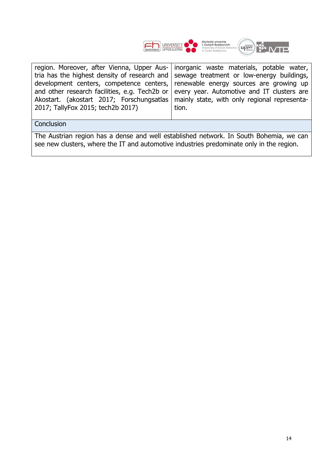



|                                   | region. Moreover, after Vienna, Upper Aus-   inorganic waste materials, potable water,   |
|-----------------------------------|------------------------------------------------------------------------------------------|
|                                   | tria has the highest density of research and sewage treatment or low-energy buildings,   |
|                                   | development centers, competence centers, renewable energy sources are growing up         |
|                                   | and other research facilities, e.g. Tech2b or every year. Automotive and IT clusters are |
|                                   | Akostart. (akostart 2017; Forschungsatlas   mainly state, with only regional representa- |
| 2017; TallyFox 2015; tech2b 2017) | tion.                                                                                    |
|                                   |                                                                                          |

The Austrian region has a dense and well established network. In South Bohemia, we can see new clusters, where the IT and automotive industries predominate only in the region.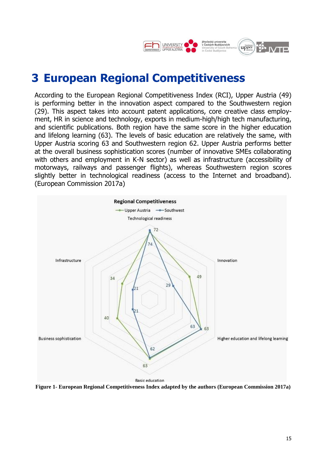

# <span id="page-17-0"></span>**3 European Regional Competitiveness**

According to the European Regional Competitiveness Index (RCI), Upper Austria (49) is performing better in the innovation aspect compared to the Southwestern region (29). This aspect takes into account patent applications, core creative class employment, HR in science and technology, exports in medium-high/high tech manufacturing, and scientific publications. Both region have the same score in the higher education and lifelong learning (63). The levels of basic education are relatively the same, with Upper Austria scoring 63 and Southwestern region 62. Upper Austria performs better at the overall business sophistication scores (number of innovative SMEs collaborating with others and employment in K-N sector) as well as infrastructure (accessibility of motorways, railways and passenger flights), whereas Southwestern region scores slightly better in technological readiness (access to the Internet and broadband). (European Commission 2017a)



<span id="page-17-1"></span>**Figure 1- European Regional Competitiveness Index adapted by the authors (European Commission 2017a)**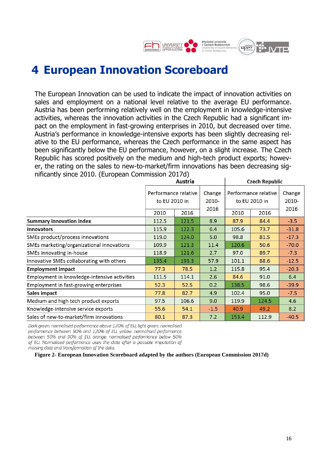

## <span id="page-18-0"></span>**4 European Innovation Scoreboard**

The European Innovation can be used to indicate the impact of innovation activities on sales and employment on a national level relative to the average EU performance. Austria has been performing relatively well on the employment in knowledge-intensive activities, whereas the innovation activities in the Czech Republic had a significant impact on the employment in fast-growing enterprises in 2010, but decreased over time. Austria's performance in knowledge-intensive exports has been slightly decreasing relative to the EU performance, whereas the Czech performance in the same aspect has been significantly below the EU performance, however, on a slight increase. The Czech Republic has scored positively on the medium and high-tech product exports; however, the rating on the sales to new-to-market/firm innovations has been decreasing significantly since 2010. (European Commission 2017d)

|                                              | Austria              |       |        | <b>Czech Republic</b> |       |         |
|----------------------------------------------|----------------------|-------|--------|-----------------------|-------|---------|
|                                              | Performance relative |       | Change | Performance relative  |       | Change  |
|                                              | to EU 2010 in        |       | 2010-  | to EU 2010 in         |       | 2010-   |
|                                              | 2010                 | 2016  | 2016   | 2010                  | 2016  | 2016    |
| <b>Summary innovation index</b>              | 112.5                | 121.5 | 8.9    | 87.9                  | 84.4  | $-3.5$  |
| <b>Innovators</b>                            | 115.9                | 122.3 | 6.4    | 105.6                 | 73.7  | $-31.8$ |
| SMEs product/process innovations             | 119.0                | 124.0 | 5.0    | 98.8                  | 81.5  | $-17.3$ |
| SMEs marketing/organizational innovations    | 109.9                | 121.3 | 11.4   | 120.6                 | 50.6  | $-70.0$ |
| SMEs innovating in-house                     | 118.9                | 121.6 | 2.7    | 97.0                  | 89.7  | $-7.3$  |
| Innovative SMEs collaborating with others    | 135.4                | 193.3 | 57.9   | 101.1                 | 88.6  | $-12.5$ |
| <b>Employment impact</b>                     | 77.3                 | 78.5  | 1.2    | 115.8                 | 95.4  | $-20.3$ |
| Employment in knowledge-intensive activities | 111.5                | 114.1 | 2.6    | 84.6                  | 91.0  | 6.4     |
| Employment in fast-growing enterprises       | 52.3                 | 52.5  | 0.2    | 138.5                 | 98.6  | $-39.9$ |
| Sales impact                                 | 77.8                 | 82.7  | 4.9    | 102.4                 | 95.0  | $-7.5$  |
| Medium and high tech product exports         | 97.5                 | 106.6 | 9.0    | 119.9                 | 124.5 | 4.6     |
| Knowledge-intensive service exports          | 55.6                 | 54.1  | $-1.5$ | 40.9                  | 49.2  | 8.2     |
| Sales of new-to-market/firm innovations      | 80.1                 | 87.3  | 7.2    | 153.4                 | 112.9 | $-40.5$ |

Dark areen: normalised performance above 120% of EU: light areen: normalised performance between 90% and 120% of EU; yellow: normalised performance between 50% and 90% of EU; orange: normalised performance below 50% of EU. Normalised performance uses the data after a possible imputation of missing data and transformation of the data.

<span id="page-18-1"></span>**Figure 2- European Innovation Scoreboard adapted by the authors (European Commission 2017d)**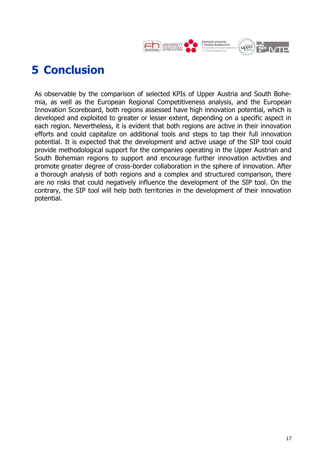

<span id="page-19-0"></span>As observable by the comparison of selected KPIs of Upper Austria and South Bohemia, as well as the European Regional Competitiveness analysis, and the European Innovation Scoreboard, both regions assessed have high innovation potential, which is developed and exploited to greater or lesser extent, depending on a specific aspect in each region. Nevertheless, it is evident that both regions are active in their innovation efforts and could capitalize on additional tools and steps to tap their full innovation potential. It is expected that the development and active usage of the SIP tool could provide methodological support for the companies operating in the Upper Austrian and South Bohemian regions to support and encourage further innovation activities and promote greater degree of cross-border collaboration in the sphere of innovation. After a thorough analysis of both regions and a complex and structured comparison, there are no risks that could negatively influence the development of the SIP tool. On the contrary, the SIP tool will help both territories in the development of their innovation potential.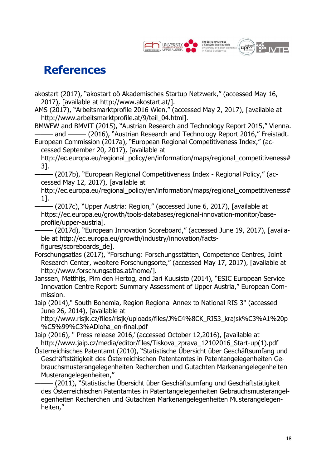

# <span id="page-20-0"></span>**References**

- akostart (2017), "akostart oö Akademisches Startup Netzwerk," (accessed May 16, 2017), [available at http://www.akostart.at/].
- AMS (2017), "Arbeitsmarktprofile 2016 Wien," (accessed May 2, 2017), [available at http://www.arbeitsmarktprofile.at/9/teil\_04.html].

BMWFW and BMVIT (2015), "Austrian Research and Technology Report 2015," Vienna. - and ——— (2016), "Austrian Research and Technology Report 2016," Freistadt.

European Commission (2017a), "European Regional Competitiveness Index," (accessed September 20, 2017), [available at

http://ec.europa.eu/regional\_policy/en/information/maps/regional\_competitiveness# 3].

——— (2017b), "European Regional Competitiveness Index - Regional Policy," (accessed May 12, 2017), [available at

http://ec.europa.eu/regional\_policy/en/information/maps/regional\_competitiveness# 1].

- (2017c), "Upper Austria: Region," (accessed June 6, 2017), [available at https://ec.europa.eu/growth/tools-databases/regional-innovation-monitor/baseprofile/upper-austria].

- (2017d), "European Innovation Scoreboard," (accessed June 19, 2017), [available at http://ec.europa.eu/growth/industry/innovation/factsfigures/scoreboards\_de].

- Forschungsatlas (2017), "Forschung: Forschungsstätten, Competence Centres, Joint Research Center, weoitere Forschungsorte," (accessed May 17, 2017), [available at http://www.forschungsatlas.at/home/].
- Janssen, Matthijs, Pim den Hertog, and Jari Kuusisto (2014), "ESIC European Service Innovation Centre Report: Summary Assessment of Upper Austria," European Commission.

Jaip (2014)," South Bohemia, Region Regional Annex to National RIS 3" (accessed June 26, 2014), [available at

http://www.risjk.cz/files/risjk/uploads/files/J%C4%8CK\_RIS3\_krajsk%C3%A1%20p %C5%99%C3%ADloha\_en-final.pdf

Jaip (2016), " Press release 2016,"(accessed October 12,2016), [available at [http://www.jaip.cz/media/editor/files/Tiskova\\_zprava\\_12102016\\_Start-up\(1\).pdf](http://www.jaip.cz/media/editor/files/Tiskova_zprava_12102016_Start-up(1).pdf)

Österreichisches Patentamt (2010), "Statistische Übersicht über Geschäftsumfang und Geschäftstätigkeit des Österreichischen Patentamtes in Patentangelegenheiten Gebrauchsmusterangelegenheiten Recherchen und Gutachten Markenangelegenheiten Musterangelegenheiten,"

——— (2011), "Statistische Übersicht über Geschäftsumfang und Geschäftstätigkeit des Österreichischen Patentamtes in Patentangelegenheiten Gebrauchsmusterangelegenheiten Recherchen und Gutachten Markenangelegenheiten Musterangelegenheiten,"